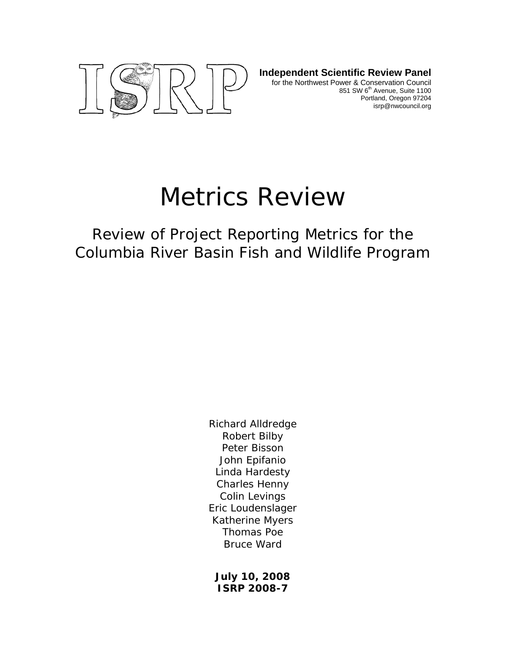

**Independent Scientific Review Panel** for the Northwest Power & Conservation Council 851 SW 6<sup>th</sup> Avenue, Suite 1100 Portland, Oregon 97204 isrp@nwcouncil.org

# Metrics Review

Review of Project Reporting Metrics for the Columbia River Basin Fish and Wildlife Program

> Richard Alldredge Robert Bilby Peter Bisson John Epifanio Linda Hardesty Charles Henny Colin Levings Eric Loudenslager Katherine Myers Thomas Poe Bruce Ward

**July 10, 2008 ISRP 2008-7**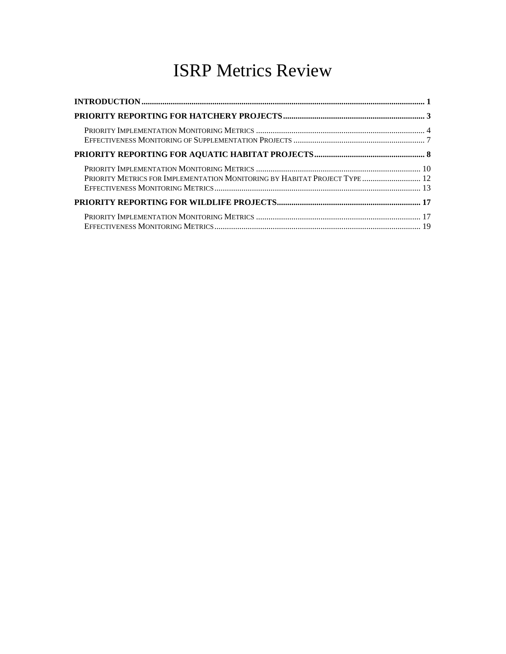# ISRP Metrics Review

| PRIORITY METRICS FOR IMPLEMENTATION MONITORING BY HABITAT PROJECT TYPE 12 |  |
|---------------------------------------------------------------------------|--|
|                                                                           |  |
|                                                                           |  |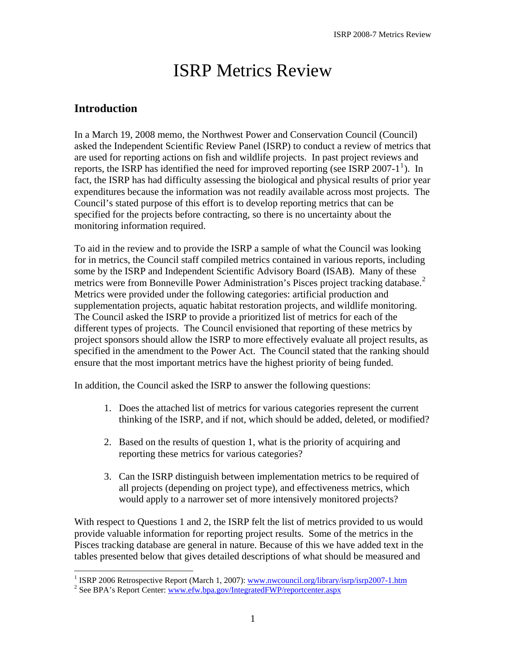# ISRP Metrics Review

#### <span id="page-2-0"></span>**Introduction**

In a March 19, 2008 memo, the Northwest Power and Conservation Council (Council) asked the Independent Scientific Review Panel (ISRP) to conduct a review of metrics that are used for reporting actions on fish and wildlife projects. In past project reviews and reports, the ISRP has identified the need for improved reporting (see ISRP 2007-[1](#page-2-1)<sup>1</sup>). In fact, the ISRP has had difficulty assessing the biological and physical results of prior year expenditures because the information was not readily available across most projects. The Council's stated purpose of this effort is to develop reporting metrics that can be specified for the projects before contracting, so there is no uncertainty about the monitoring information required.

To aid in the review and to provide the ISRP a sample of what the Council was looking for in metrics, the Council staff compiled metrics contained in various reports, including some by the ISRP and Independent Scientific Advisory Board (ISAB). Many of these metrics were from Bonneville Power Administration's Pisces project tracking database.<sup>[2](#page-2-2)</sup> Metrics were provided under the following categories: artificial production and supplementation projects, aquatic habitat restoration projects, and wildlife monitoring. The Council asked the ISRP to provide a prioritized list of metrics for each of the different types of projects. The Council envisioned that reporting of these metrics by project sponsors should allow the ISRP to more effectively evaluate all project results, as specified in the amendment to the Power Act. The Council stated that the ranking should ensure that the most important metrics have the highest priority of being funded.

In addition, the Council asked the ISRP to answer the following questions:

- 1. Does the attached list of metrics for various categories represent the current thinking of the ISRP, and if not, which should be added, deleted, or modified?
- 2. Based on the results of question 1, what is the priority of acquiring and reporting these metrics for various categories?
- 3. Can the ISRP distinguish between implementation metrics to be required of all projects (depending on project type), and effectiveness metrics, which would apply to a narrower set of more intensively monitored projects?

With respect to Questions 1 and 2, the ISRP felt the list of metrics provided to us would provide valuable information for reporting project results. Some of the metrics in the Pisces tracking database are general in nature. Because of this we have added text in the tables presented below that gives detailed descriptions of what should be measured and

<sup>&</sup>lt;sup>1</sup> ISRP 2006 Retrospective Report (March 1, 2007): <u>www.nwcouncil.org/library/isrp/isrp2007-1.htm</u><br><sup>2</sup> See BBA's Bapert Center: www.efy.bps.gov/IntegratedEWD/reporteenter.com

<span id="page-2-2"></span><span id="page-2-1"></span><sup>&</sup>lt;sup>2</sup> See BPA's Report Center: www.efw.bpa.gov/IntegratedFWP/reportcenter.aspx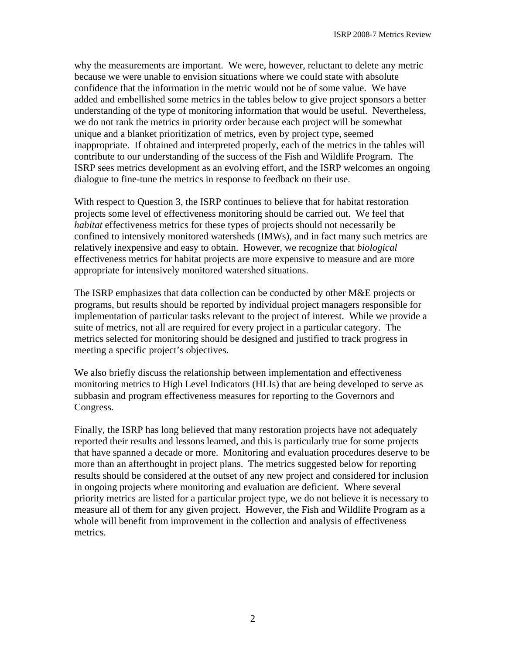why the measurements are important. We were, however, reluctant to delete any metric because we were unable to envision situations where we could state with absolute confidence that the information in the metric would not be of some value. We have added and embellished some metrics in the tables below to give project sponsors a better understanding of the type of monitoring information that would be useful. Nevertheless, we do not rank the metrics in priority order because each project will be somewhat unique and a blanket prioritization of metrics, even by project type, seemed inappropriate. If obtained and interpreted properly, each of the metrics in the tables will contribute to our understanding of the success of the Fish and Wildlife Program. The ISRP sees metrics development as an evolving effort, and the ISRP welcomes an ongoing dialogue to fine-tune the metrics in response to feedback on their use.

With respect to Question 3, the ISRP continues to believe that for habitat restoration projects some level of effectiveness monitoring should be carried out. We feel that *habitat* effectiveness metrics for these types of projects should not necessarily be confined to intensively monitored watersheds (IMWs), and in fact many such metrics are relatively inexpensive and easy to obtain. However, we recognize that *biological* effectiveness metrics for habitat projects are more expensive to measure and are more appropriate for intensively monitored watershed situations.

The ISRP emphasizes that data collection can be conducted by other M&E projects or programs, but results should be reported by individual project managers responsible for implementation of particular tasks relevant to the project of interest. While we provide a suite of metrics, not all are required for every project in a particular category. The metrics selected for monitoring should be designed and justified to track progress in meeting a specific project's objectives.

We also briefly discuss the relationship between implementation and effectiveness monitoring metrics to High Level Indicators (HLIs) that are being developed to serve as subbasin and program effectiveness measures for reporting to the Governors and Congress.

Finally, the ISRP has long believed that many restoration projects have not adequately reported their results and lessons learned, and this is particularly true for some projects that have spanned a decade or more. Monitoring and evaluation procedures deserve to be more than an afterthought in project plans. The metrics suggested below for reporting results should be considered at the outset of any new project and considered for inclusion in ongoing projects where monitoring and evaluation are deficient. Where several priority metrics are listed for a particular project type, we do not believe it is necessary to measure all of them for any given project. However, the Fish and Wildlife Program as a whole will benefit from improvement in the collection and analysis of effectiveness metrics.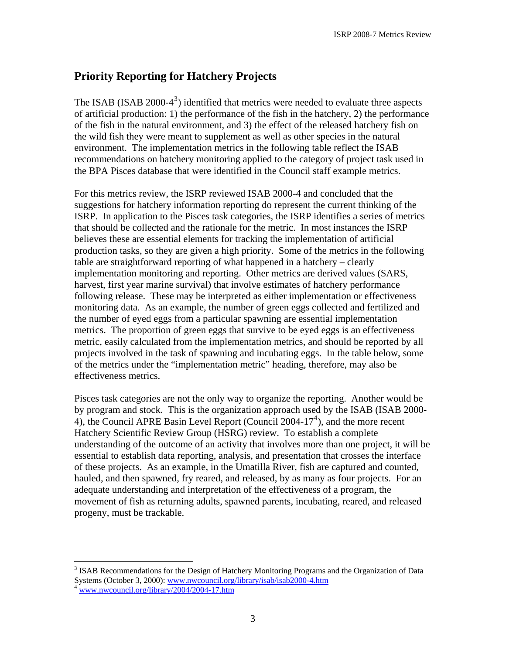#### <span id="page-4-0"></span>**Priority Reporting for Hatchery Projects**

The ISAB (ISAB  $2000-4^3$  $2000-4^3$ ) identified that metrics were needed to evaluate three aspects of artificial production: 1) the performance of the fish in the hatchery, 2) the performance of the fish in the natural environment, and 3) the effect of the released hatchery fish on the wild fish they were meant to supplement as well as other species in the natural environment. The implementation metrics in the following table reflect the ISAB recommendations on hatchery monitoring applied to the category of project task used in the BPA Pisces database that were identified in the Council staff example metrics.

For this metrics review, the ISRP reviewed ISAB 2000-4 and concluded that the suggestions for hatchery information reporting do represent the current thinking of the ISRP. In application to the Pisces task categories, the ISRP identifies a series of metrics that should be collected and the rationale for the metric. In most instances the ISRP believes these are essential elements for tracking the implementation of artificial production tasks, so they are given a high priority. Some of the metrics in the following table are straightforward reporting of what happened in a hatchery – clearly implementation monitoring and reporting. Other metrics are derived values (SARS, harvest, first year marine survival) that involve estimates of hatchery performance following release. These may be interpreted as either implementation or effectiveness monitoring data. As an example, the number of green eggs collected and fertilized and the number of eyed eggs from a particular spawning are essential implementation metrics. The proportion of green eggs that survive to be eyed eggs is an effectiveness metric, easily calculated from the implementation metrics, and should be reported by all projects involved in the task of spawning and incubating eggs. In the table below, some of the metrics under the "implementation metric" heading, therefore, may also be effectiveness metrics.

Pisces task categories are not the only way to organize the reporting. Another would be by program and stock. This is the organization approach used by the ISAB (ISAB 2000- [4](#page-4-2)), the Council APRE Basin Level Report (Council 2004-17<sup>4</sup>), and the more recent Hatchery Scientific Review Group (HSRG) review. To establish a complete understanding of the outcome of an activity that involves more than one project, it will be essential to establish data reporting, analysis, and presentation that crosses the interface of these projects. As an example, in the Umatilla River, fish are captured and counted, hauled, and then spawned, fry reared, and released, by as many as four projects. For an adequate understanding and interpretation of the effectiveness of a program, the movement of fish as returning adults, spawned parents, incubating, reared, and released progeny, must be trackable.

 $\overline{a}$ 

<span id="page-4-1"></span><sup>&</sup>lt;sup>3</sup> ISAB Recommendations for the Design of Hatchery Monitoring Programs and the Organization of Data Systems (October 3, 2000): [www.nwcouncil.org/library/isab/isab2000-4.htm](http://www.nwcouncil.org/library/isab/isab2000-4.htm) 4 www.nwcouncil.org/library/2004/2004-17.htm

<span id="page-4-2"></span>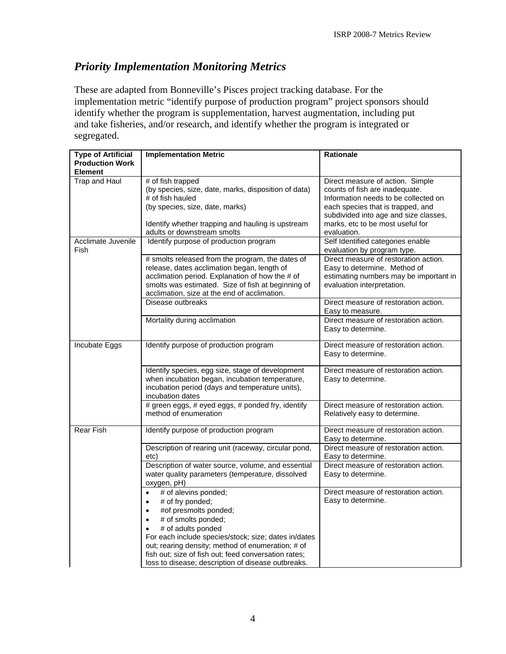#### <span id="page-5-0"></span>*Priority Implementation Monitoring Metrics*

These are adapted from Bonneville's Pisces project tracking database. For the implementation metric "identify purpose of production program" project sponsors should identify whether the program is supplementation, harvest augmentation, including put and take fisheries, and/or research, and identify whether the program is integrated or segregated.

| <b>Type of Artificial</b> | <b>Implementation Metric</b>                         | <b>Rationale</b>                       |
|---------------------------|------------------------------------------------------|----------------------------------------|
| <b>Production Work</b>    |                                                      |                                        |
| <b>Element</b>            |                                                      |                                        |
| Trap and Haul             | # of fish trapped                                    | Direct measure of action. Simple       |
|                           | (by species, size, date, marks, disposition of data) | counts of fish are inadequate.         |
|                           | # of fish hauled                                     | Information needs to be collected on   |
|                           | (by species, size, date, marks)                      | each species that is trapped, and      |
|                           |                                                      | subdivided into age and size classes,  |
|                           | Identify whether trapping and hauling is upstream    | marks, etc to be most useful for       |
|                           | adults or downstream smolts                          | evaluation.                            |
| Acclimate Juvenile        | Identify purpose of production program               | Self Identified categories enable      |
| Fish                      |                                                      | evaluation by program type.            |
|                           | # smolts released from the program, the dates of     | Direct measure of restoration action.  |
|                           | release, dates acclimation began, length of          | Easy to determine. Method of           |
|                           | acclimation period. Explanation of how the # of      | estimating numbers may be important in |
|                           | smolts was estimated. Size of fish at beginning of   | evaluation interpretation.             |
|                           | acclimation, size at the end of acclimation.         |                                        |
|                           | Disease outbreaks                                    | Direct measure of restoration action.  |
|                           |                                                      | Easy to measure.                       |
|                           | Mortality during acclimation                         | Direct measure of restoration action.  |
|                           |                                                      | Easy to determine.                     |
|                           |                                                      |                                        |
| Incubate Eggs             | Identify purpose of production program               | Direct measure of restoration action.  |
|                           |                                                      | Easy to determine.                     |
|                           |                                                      |                                        |
|                           | Identify species, egg size, stage of development     | Direct measure of restoration action.  |
|                           | when incubation began, incubation temperature,       | Easy to determine.                     |
|                           | incubation period (days and temperature units),      |                                        |
|                           | incubation dates                                     |                                        |
|                           | # green eggs, # eyed eggs, # ponded fry, identify    | Direct measure of restoration action.  |
|                           | method of enumeration                                | Relatively easy to determine.          |
|                           |                                                      |                                        |
| <b>Rear Fish</b>          | Identify purpose of production program               | Direct measure of restoration action.  |
|                           |                                                      | Easy to determine.                     |
|                           | Description of rearing unit (raceway, circular pond, | Direct measure of restoration action.  |
|                           | etc)                                                 | Easy to determine.                     |
|                           | Description of water source, volume, and essential   | Direct measure of restoration action.  |
|                           | water quality parameters (temperature, dissolved     | Easy to determine.                     |
|                           | oxygen, pH)                                          |                                        |
|                           | # of alevins ponded;<br>$\bullet$                    | Direct measure of restoration action.  |
|                           | # of fry ponded;                                     | Easy to determine.                     |
|                           | #of presmolts ponded;<br>$\bullet$                   |                                        |
|                           | # of smolts ponded;                                  |                                        |
|                           | # of adults ponded                                   |                                        |
|                           | For each include species/stock; size; dates in/dates |                                        |
|                           | out; rearing density; method of enumeration; # of    |                                        |
|                           | fish out; size of fish out; feed conversation rates; |                                        |
|                           |                                                      |                                        |
|                           | loss to disease; description of disease outbreaks.   |                                        |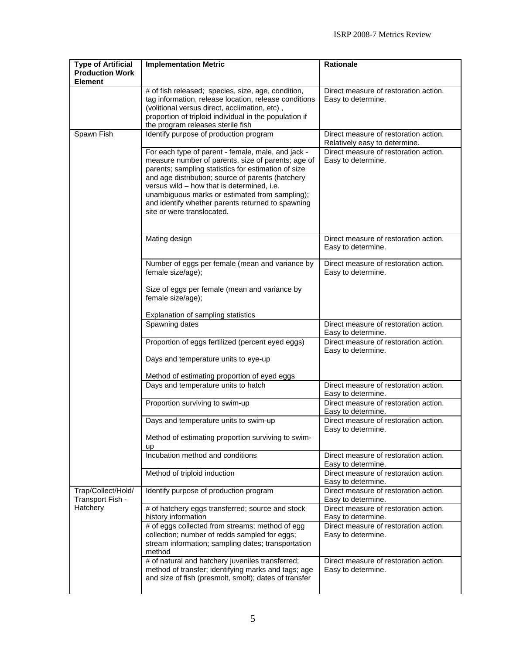| <b>Type of Artificial</b>                          | <b>Implementation Metric</b>                                                                                                                                                                                                                                                                                                                                                                            | <b>Rationale</b>                                                       |
|----------------------------------------------------|---------------------------------------------------------------------------------------------------------------------------------------------------------------------------------------------------------------------------------------------------------------------------------------------------------------------------------------------------------------------------------------------------------|------------------------------------------------------------------------|
| <b>Production Work</b><br><b>Element</b>           |                                                                                                                                                                                                                                                                                                                                                                                                         |                                                                        |
|                                                    | # of fish released; species, size, age, condition,<br>tag information, release location, release conditions<br>(volitional versus direct, acclimation, etc),<br>proportion of triploid individual in the population if<br>the program releases sterile fish                                                                                                                                             | Direct measure of restoration action.<br>Easy to determine.            |
| Spawn Fish                                         | Identify purpose of production program                                                                                                                                                                                                                                                                                                                                                                  | Direct measure of restoration action.<br>Relatively easy to determine. |
|                                                    | For each type of parent - female, male, and jack -<br>measure number of parents, size of parents; age of<br>parents; sampling statistics for estimation of size<br>and age distribution; source of parents (hatchery<br>versus wild - how that is determined, i.e.<br>unambiguous marks or estimated from sampling);<br>and identify whether parents returned to spawning<br>site or were translocated. | Direct measure of restoration action.<br>Easy to determine.            |
|                                                    | Mating design                                                                                                                                                                                                                                                                                                                                                                                           | Direct measure of restoration action.<br>Easy to determine.            |
|                                                    | Number of eggs per female (mean and variance by<br>female size/age);                                                                                                                                                                                                                                                                                                                                    | Direct measure of restoration action.<br>Easy to determine.            |
|                                                    | Size of eggs per female (mean and variance by<br>female size/age);                                                                                                                                                                                                                                                                                                                                      |                                                                        |
|                                                    | Explanation of sampling statistics                                                                                                                                                                                                                                                                                                                                                                      |                                                                        |
|                                                    | Spawning dates                                                                                                                                                                                                                                                                                                                                                                                          | Direct measure of restoration action.<br>Easy to determine.            |
|                                                    | Proportion of eggs fertilized (percent eyed eggs)                                                                                                                                                                                                                                                                                                                                                       | Direct measure of restoration action.<br>Easy to determine.            |
|                                                    | Days and temperature units to eye-up                                                                                                                                                                                                                                                                                                                                                                    |                                                                        |
|                                                    | Method of estimating proportion of eyed eggs                                                                                                                                                                                                                                                                                                                                                            |                                                                        |
|                                                    | Days and temperature units to hatch                                                                                                                                                                                                                                                                                                                                                                     | Direct measure of restoration action.<br>Easy to determine.            |
|                                                    | Proportion surviving to swim-up                                                                                                                                                                                                                                                                                                                                                                         | Direct measure of restoration action.<br>Easy to determine.            |
|                                                    | Days and temperature units to swim-up                                                                                                                                                                                                                                                                                                                                                                   | Direct measure of restoration action.<br>Easy to determine.            |
|                                                    | Method of estimating proportion surviving to swim-<br>up                                                                                                                                                                                                                                                                                                                                                |                                                                        |
|                                                    | Incubation method and conditions                                                                                                                                                                                                                                                                                                                                                                        | Direct measure of restoration action.<br>Easy to determine.            |
|                                                    | Method of triploid induction                                                                                                                                                                                                                                                                                                                                                                            | Direct measure of restoration action.<br>Easy to determine.            |
| Trap/Collect/Hold/<br>Transport Fish -<br>Hatchery | Identify purpose of production program                                                                                                                                                                                                                                                                                                                                                                  | Direct measure of restoration action.<br>Easy to determine.            |
|                                                    | # of hatchery eggs transferred; source and stock<br>history information                                                                                                                                                                                                                                                                                                                                 | Direct measure of restoration action.<br>Easy to determine.            |
|                                                    | # of eggs collected from streams; method of egg<br>collection; number of redds sampled for eggs;<br>stream information; sampling dates; transportation<br>method                                                                                                                                                                                                                                        | Direct measure of restoration action.<br>Easy to determine.            |
|                                                    | # of natural and hatchery juveniles transferred;<br>method of transfer; identifying marks and tags; age<br>and size of fish (presmolt, smolt); dates of transfer                                                                                                                                                                                                                                        | Direct measure of restoration action.<br>Easy to determine.            |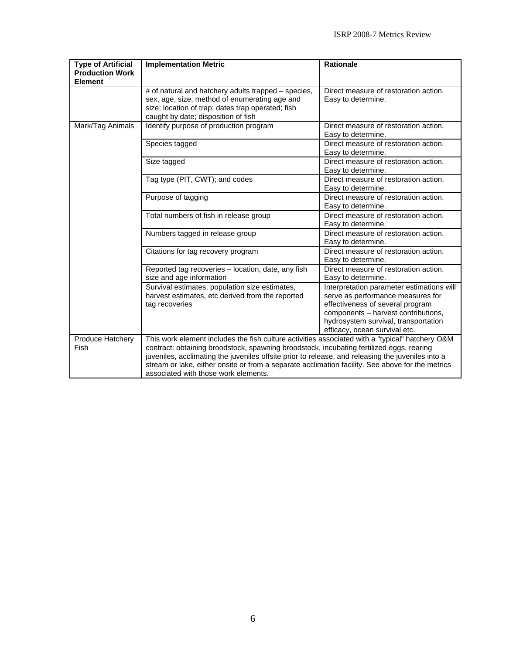| <b>Type of Artificial</b><br><b>Production Work</b><br><b>Element</b> | <b>Implementation Metric</b>                                                                                                                                                                                                                                                                                                                                                                                                                 | Rationale                                                                                                                                                                                                                          |
|-----------------------------------------------------------------------|----------------------------------------------------------------------------------------------------------------------------------------------------------------------------------------------------------------------------------------------------------------------------------------------------------------------------------------------------------------------------------------------------------------------------------------------|------------------------------------------------------------------------------------------------------------------------------------------------------------------------------------------------------------------------------------|
|                                                                       | # of natural and hatchery adults trapped – species,<br>sex, age, size, method of enumerating age and<br>size; location of trap; dates trap operated; fish<br>caught by date; disposition of fish                                                                                                                                                                                                                                             | Direct measure of restoration action.<br>Easy to determine.                                                                                                                                                                        |
| Mark/Tag Animals                                                      | Identify purpose of production program                                                                                                                                                                                                                                                                                                                                                                                                       | Direct measure of restoration action.<br>Easy to determine.                                                                                                                                                                        |
|                                                                       | Species tagged                                                                                                                                                                                                                                                                                                                                                                                                                               | Direct measure of restoration action.<br>Easy to determine.                                                                                                                                                                        |
|                                                                       | Size tagged                                                                                                                                                                                                                                                                                                                                                                                                                                  | Direct measure of restoration action.<br>Easy to determine.                                                                                                                                                                        |
|                                                                       | Tag type (PIT, CWT); and codes                                                                                                                                                                                                                                                                                                                                                                                                               | Direct measure of restoration action.<br>Easy to determine.                                                                                                                                                                        |
|                                                                       | Purpose of tagging                                                                                                                                                                                                                                                                                                                                                                                                                           | Direct measure of restoration action.<br>Easy to determine.                                                                                                                                                                        |
|                                                                       | Total numbers of fish in release group                                                                                                                                                                                                                                                                                                                                                                                                       | Direct measure of restoration action.<br>Easy to determine.                                                                                                                                                                        |
|                                                                       | Numbers tagged in release group                                                                                                                                                                                                                                                                                                                                                                                                              | Direct measure of restoration action.<br>Easy to determine.                                                                                                                                                                        |
|                                                                       | Citations for tag recovery program                                                                                                                                                                                                                                                                                                                                                                                                           | Direct measure of restoration action.<br>Easy to determine.                                                                                                                                                                        |
|                                                                       | Reported tag recoveries – location, date, any fish<br>size and age information                                                                                                                                                                                                                                                                                                                                                               | Direct measure of restoration action.<br>Easy to determine.                                                                                                                                                                        |
|                                                                       | Survival estimates, population size estimates,<br>harvest estimates, etc derived from the reported<br>tag recoveries                                                                                                                                                                                                                                                                                                                         | Interpretation parameter estimations will<br>serve as performance measures for<br>effectiveness of several program<br>components - harvest contributions,<br>hydrosystem survival, transportation<br>efficacy, ocean survival etc. |
| Produce Hatchery<br>Fish                                              | This work element includes the fish culture activities associated with a "typical" hatchery O&M<br>contract: obtaining broodstock, spawning broodstock, incubating fertilized eggs, rearing<br>juveniles, acclimating the juveniles offsite prior to release, and releasing the juveniles into a<br>stream or lake, either onsite or from a separate acclimation facility. See above for the metrics<br>associated with those work elements. |                                                                                                                                                                                                                                    |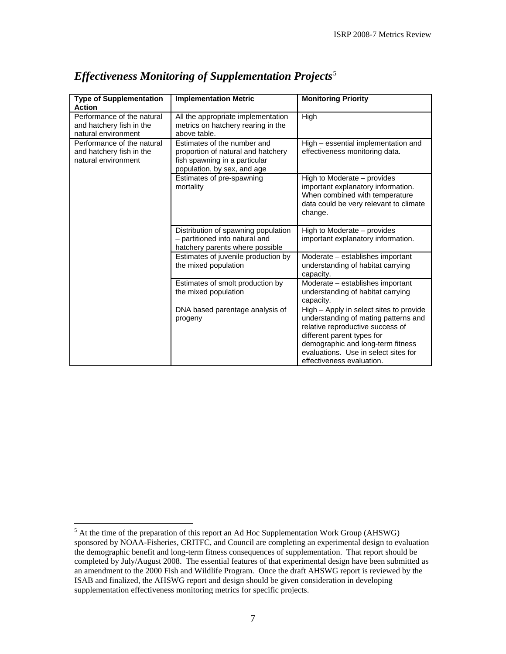| <b>Type of Supplementation</b><br><b>Action</b>                               | <b>Implementation Metric</b>                                                                                                      | <b>Monitoring Priority</b>                                                                                                                                                                                                                                  |
|-------------------------------------------------------------------------------|-----------------------------------------------------------------------------------------------------------------------------------|-------------------------------------------------------------------------------------------------------------------------------------------------------------------------------------------------------------------------------------------------------------|
| Performance of the natural<br>and hatchery fish in the<br>natural environment | All the appropriate implementation<br>metrics on hatchery rearing in the<br>above table.                                          | High                                                                                                                                                                                                                                                        |
| Performance of the natural<br>and hatchery fish in the<br>natural environment | Estimates of the number and<br>proportion of natural and hatchery<br>fish spawning in a particular<br>population, by sex, and age | High - essential implementation and<br>effectiveness monitoring data.                                                                                                                                                                                       |
|                                                                               | Estimates of pre-spawning<br>mortality                                                                                            | High to Moderate – provides<br>important explanatory information.<br>When combined with temperature<br>data could be very relevant to climate<br>change.                                                                                                    |
|                                                                               | Distribution of spawning population<br>- partitioned into natural and<br>hatchery parents where possible                          | High to Moderate - provides<br>important explanatory information.                                                                                                                                                                                           |
|                                                                               | Estimates of juvenile production by<br>the mixed population                                                                       | Moderate - establishes important<br>understanding of habitat carrying<br>capacity.                                                                                                                                                                          |
|                                                                               | Estimates of smolt production by<br>the mixed population                                                                          | Moderate - establishes important<br>understanding of habitat carrying<br>capacity.                                                                                                                                                                          |
|                                                                               | DNA based parentage analysis of<br>progeny                                                                                        | High - Apply in select sites to provide<br>understanding of mating patterns and<br>relative reproductive success of<br>different parent types for<br>demographic and long-term fitness<br>evaluations. Use in select sites for<br>effectiveness evaluation. |

#### <span id="page-8-0"></span>*Effectiveness Monitoring of Supplementation Projects*[5](#page-8-1)

<span id="page-8-1"></span><sup>&</sup>lt;sup>5</sup> At the time of the preparation of this report an Ad Hoc Supplementation Work Group (AHSWG) sponsored by NOAA-Fisheries, CRITFC, and Council are completing an experimental design to evaluation the demographic benefit and long-term fitness consequences of supplementation. That report should be completed by July/August 2008. The essential features of that experimental design have been submitted as an amendment to the 2000 Fish and Wildlife Program. Once the draft AHSWG report is reviewed by the ISAB and finalized, the AHSWG report and design should be given consideration in developing supplementation effectiveness monitoring metrics for specific projects.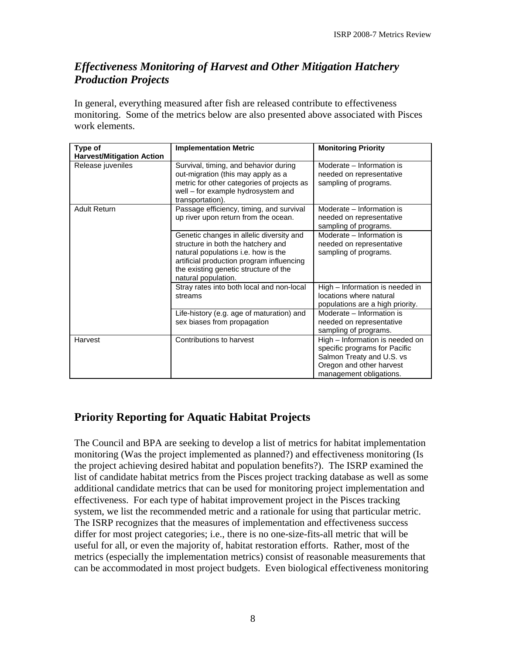#### <span id="page-9-0"></span>*Effectiveness Monitoring of Harvest and Other Mitigation Hatchery Production Projects*

In general, everything measured after fish are released contribute to effectiveness monitoring. Some of the metrics below are also presented above associated with Pisces work elements.

| Type of                          | <b>Implementation Metric</b>                                                                                                                                                                                                       | <b>Monitoring Priority</b>                                                                                                                           |
|----------------------------------|------------------------------------------------------------------------------------------------------------------------------------------------------------------------------------------------------------------------------------|------------------------------------------------------------------------------------------------------------------------------------------------------|
| <b>Harvest/Mitigation Action</b> |                                                                                                                                                                                                                                    |                                                                                                                                                      |
| Release juveniles                | Survival, timing, and behavior during<br>out-migration (this may apply as a<br>metric for other categories of projects as<br>well – for example hydrosystem and<br>transportation).                                                | Moderate - Information is<br>needed on representative<br>sampling of programs.                                                                       |
| <b>Adult Return</b>              | Passage efficiency, timing, and survival<br>up river upon return from the ocean.                                                                                                                                                   | Moderate - Information is<br>needed on representative<br>sampling of programs.                                                                       |
|                                  | Genetic changes in allelic diversity and<br>structure in both the hatchery and<br>natural populations i.e. how is the<br>artificial production program influencing<br>the existing genetic structure of the<br>natural population. | Moderate - Information is<br>needed on representative<br>sampling of programs.                                                                       |
|                                  | Stray rates into both local and non-local<br>streams                                                                                                                                                                               | High - Information is needed in<br>locations where natural<br>populations are a high priority.                                                       |
|                                  | Life-history (e.g. age of maturation) and<br>sex biases from propagation                                                                                                                                                           | Moderate - Information is<br>needed on representative<br>sampling of programs.                                                                       |
| Harvest                          | Contributions to harvest                                                                                                                                                                                                           | High - Information is needed on<br>specific programs for Pacific<br>Salmon Treaty and U.S. vs<br>Oregon and other harvest<br>management obligations. |

### **Priority Reporting for Aquatic Habitat Projects**

The Council and BPA are seeking to develop a list of metrics for habitat implementation monitoring (Was the project implemented as planned?) and effectiveness monitoring (Is the project achieving desired habitat and population benefits?). The ISRP examined the list of candidate habitat metrics from the Pisces project tracking database as well as some additional candidate metrics that can be used for monitoring project implementation and effectiveness. For each type of habitat improvement project in the Pisces tracking system, we list the recommended metric and a rationale for using that particular metric. The ISRP recognizes that the measures of implementation and effectiveness success differ for most project categories; i.e., there is no one-size-fits-all metric that will be useful for all, or even the majority of, habitat restoration efforts. Rather, most of the metrics (especially the implementation metrics) consist of reasonable measurements that can be accommodated in most project budgets. Even biological effectiveness monitoring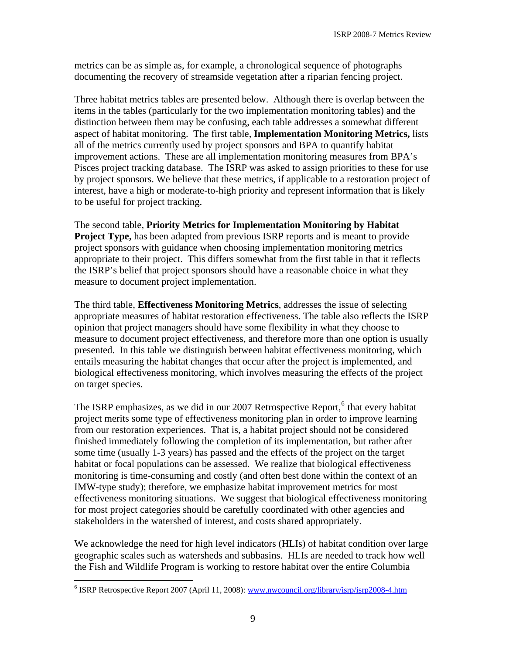metrics can be as simple as, for example, a chronological sequence of photographs documenting the recovery of streamside vegetation after a riparian fencing project.

Three habitat metrics tables are presented below. Although there is overlap between the items in the tables (particularly for the two implementation monitoring tables) and the distinction between them may be confusing, each table addresses a somewhat different aspect of habitat monitoring. The first table, **Implementation Monitoring Metrics,** lists all of the metrics currently used by project sponsors and BPA to quantify habitat improvement actions. These are all implementation monitoring measures from BPA's Pisces project tracking database. The ISRP was asked to assign priorities to these for use by project sponsors. We believe that these metrics, if applicable to a restoration project of interest, have a high or moderate-to-high priority and represent information that is likely to be useful for project tracking.

The second table, **Priority Metrics for Implementation Monitoring by Habitat Project Type,** has been adapted from previous ISRP reports and is meant to provide project sponsors with guidance when choosing implementation monitoring metrics appropriate to their project. This differs somewhat from the first table in that it reflects the ISRP's belief that project sponsors should have a reasonable choice in what they measure to document project implementation.

The third table, **Effectiveness Monitoring Metrics**, addresses the issue of selecting appropriate measures of habitat restoration effectiveness. The table also reflects the ISRP opinion that project managers should have some flexibility in what they choose to measure to document project effectiveness, and therefore more than one option is usually presented. In this table we distinguish between habitat effectiveness monitoring, which entails measuring the habitat changes that occur after the project is implemented, and biological effectiveness monitoring, which involves measuring the effects of the project on target species.

The ISRP emphasizes, as we did in our 2007 Retrospective Report,<sup>[6](#page-10-0)</sup> that every habitat project merits some type of effectiveness monitoring plan in order to improve learning from our restoration experiences. That is, a habitat project should not be considered finished immediately following the completion of its implementation, but rather after some time (usually 1-3 years) has passed and the effects of the project on the target habitat or focal populations can be assessed. We realize that biological effectiveness monitoring is time-consuming and costly (and often best done within the context of an IMW-type study); therefore, we emphasize habitat improvement metrics for most effectiveness monitoring situations. We suggest that biological effectiveness monitoring for most project categories should be carefully coordinated with other agencies and stakeholders in the watershed of interest, and costs shared appropriately.

We acknowledge the need for high level indicators (HLIs) of habitat condition over large geographic scales such as watersheds and subbasins. HLIs are needed to track how well the Fish and Wildlife Program is working to restore habitat over the entire Columbia

 $\overline{a}$ 

<span id="page-10-0"></span><sup>&</sup>lt;sup>6</sup> ISRP Retrospective Report 2007 (April 11, 2008): www.nwcouncil.org/library/isrp/isrp2008-4.htm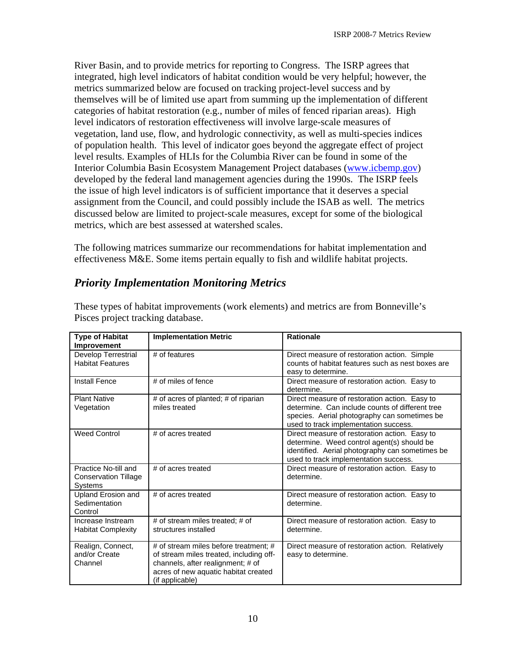<span id="page-11-0"></span>River Basin, and to provide metrics for reporting to Congress. The ISRP agrees that integrated, high level indicators of habitat condition would be very helpful; however, the metrics summarized below are focused on tracking project-level success and by themselves will be of limited use apart from summing up the implementation of different categories of habitat restoration (e.g., number of miles of fenced riparian areas). High level indicators of restoration effectiveness will involve large-scale measures of vegetation, land use, flow, and hydrologic connectivity, as well as multi-species indices of population health. This level of indicator goes beyond the aggregate effect of project level results. Examples of HLIs for the Columbia River can be found in some of the Interior Columbia Basin Ecosystem Management Project databases [\(www.icbemp.gov](http://www.icbemp.gov/)) developed by the federal land management agencies during the 1990s. The ISRP feels the issue of high level indicators is of sufficient importance that it deserves a special assignment from the Council, and could possibly include the ISAB as well. The metrics discussed below are limited to project-scale measures, except for some of the biological metrics, which are best assessed at watershed scales.

The following matrices summarize our recommendations for habitat implementation and effectiveness M&E. Some items pertain equally to fish and wildlife habitat projects.

#### *Priority Implementation Monitoring Metrics*

| <b>Type of Habitat</b><br><b>Improvement</b>                          | <b>Implementation Metric</b>                                                                                                                                                     | <b>Rationale</b>                                                                                                                                                                          |
|-----------------------------------------------------------------------|----------------------------------------------------------------------------------------------------------------------------------------------------------------------------------|-------------------------------------------------------------------------------------------------------------------------------------------------------------------------------------------|
| Develop Terrestrial<br><b>Habitat Features</b>                        | # of features                                                                                                                                                                    | Direct measure of restoration action. Simple<br>counts of habitat features such as nest boxes are<br>easy to determine.                                                                   |
| <b>Install Fence</b>                                                  | # of miles of fence                                                                                                                                                              | Direct measure of restoration action. Easy to<br>determine.                                                                                                                               |
| <b>Plant Native</b><br>Vegetation                                     | # of acres of planted; # of riparian<br>miles treated                                                                                                                            | Direct measure of restoration action. Easy to<br>determine. Can include counts of different tree<br>species. Aerial photography can sometimes be<br>used to track implementation success. |
| <b>Weed Control</b>                                                   | # of acres treated                                                                                                                                                               | Direct measure of restoration action. Easy to<br>determine. Weed control agent(s) should be<br>identified. Aerial photography can sometimes be<br>used to track implementation success.   |
| Practice No-till and<br><b>Conservation Tillage</b><br><b>Systems</b> | # of acres treated                                                                                                                                                               | Direct measure of restoration action. Easy to<br>determine.                                                                                                                               |
| Upland Erosion and<br>Sedimentation<br>Control                        | # of acres treated                                                                                                                                                               | Direct measure of restoration action. Easy to<br>determine.                                                                                                                               |
| Increase Instream<br><b>Habitat Complexity</b>                        | # of stream miles treated: # of<br>structures installed                                                                                                                          | Direct measure of restoration action. Easy to<br>determine.                                                                                                                               |
| Realign, Connect,<br>and/or Create<br>Channel                         | # of stream miles before treatment; #<br>of stream miles treated, including off-<br>channels, after realignment; # of<br>acres of new aquatic habitat created<br>(if applicable) | Direct measure of restoration action. Relatively<br>easy to determine.                                                                                                                    |

These types of habitat improvements (work elements) and metrics are from Bonneville's Pisces project tracking database.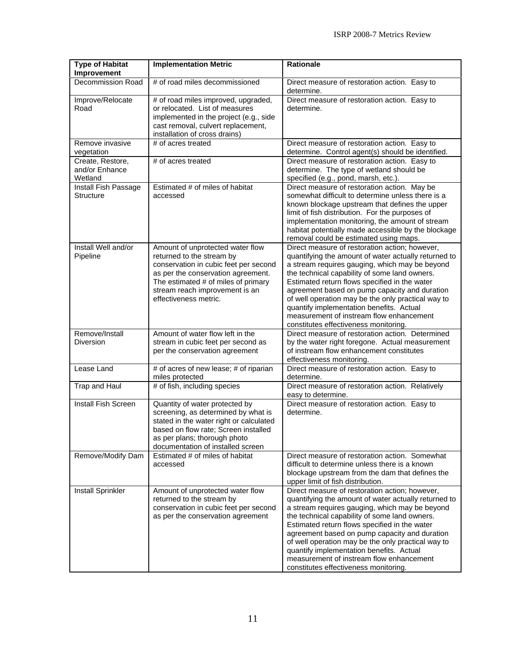| <b>Type of Habitat</b><br>Improvement         | <b>Implementation Metric</b>                                                                                                                                                                                                                   | <b>Rationale</b>                                                                                                                                                                                                                                                                                                                                                                                                                                                                                   |
|-----------------------------------------------|------------------------------------------------------------------------------------------------------------------------------------------------------------------------------------------------------------------------------------------------|----------------------------------------------------------------------------------------------------------------------------------------------------------------------------------------------------------------------------------------------------------------------------------------------------------------------------------------------------------------------------------------------------------------------------------------------------------------------------------------------------|
| Decommission Road                             | # of road miles decommissioned                                                                                                                                                                                                                 | Direct measure of restoration action. Easy to<br>determine.                                                                                                                                                                                                                                                                                                                                                                                                                                        |
| Improve/Relocate<br>Road                      | # of road miles improved, upgraded,<br>or relocated. List of measures<br>implemented in the project (e.g., side<br>cast removal, culvert replacement,<br>installation of cross drains)                                                         | Direct measure of restoration action. Easy to<br>determine.                                                                                                                                                                                                                                                                                                                                                                                                                                        |
| Remove invasive<br>vegetation                 | # of acres treated                                                                                                                                                                                                                             | Direct measure of restoration action. Easy to<br>determine. Control agent(s) should be identified.                                                                                                                                                                                                                                                                                                                                                                                                 |
| Create, Restore,<br>and/or Enhance<br>Wetland | # of acres treated                                                                                                                                                                                                                             | Direct measure of restoration action. Easy to<br>determine. The type of wetland should be<br>specified (e.g., pond, marsh, etc.).                                                                                                                                                                                                                                                                                                                                                                  |
| Install Fish Passage<br><b>Structure</b>      | Estimated # of miles of habitat<br>accessed                                                                                                                                                                                                    | Direct measure of restoration action. May be<br>somewhat difficult to determine unless there is a<br>known blockage upstream that defines the upper<br>limit of fish distribution. For the purposes of<br>implementation monitoring, the amount of stream<br>habitat potentially made accessible by the blockage<br>removal could be estimated using maps.                                                                                                                                         |
| Install Well and/or<br>Pipeline               | Amount of unprotected water flow<br>returned to the stream by<br>conservation in cubic feet per second<br>as per the conservation agreement.<br>The estimated # of miles of primary<br>stream reach improvement is an<br>effectiveness metric. | Direct measure of restoration action; however,<br>quantifying the amount of water actually returned to<br>a stream requires gauging, which may be beyond<br>the technical capability of some land owners.<br>Estimated return flows specified in the water<br>agreement based on pump capacity and duration<br>of well operation may be the only practical way to<br>quantify implementation benefits. Actual<br>measurement of instream flow enhancement<br>constitutes effectiveness monitoring. |
| Remove/Install<br><b>Diversion</b>            | Amount of water flow left in the<br>stream in cubic feet per second as<br>per the conservation agreement                                                                                                                                       | Direct measure of restoration action. Determined<br>by the water right foregone. Actual measurement<br>of instream flow enhancement constitutes<br>effectiveness monitoring.                                                                                                                                                                                                                                                                                                                       |
| Lease Land                                    | # of acres of new lease; # of riparian<br>miles protected                                                                                                                                                                                      | Direct measure of restoration action. Easy to<br>determine.                                                                                                                                                                                                                                                                                                                                                                                                                                        |
| Trap and Haul                                 | # of fish, including species                                                                                                                                                                                                                   | Direct measure of restoration action. Relatively<br>easy to determine.                                                                                                                                                                                                                                                                                                                                                                                                                             |
| Install Fish Screen                           | Quantity of water protected by<br>screening, as determined by what is<br>stated in the water right or calculated<br>based on flow rate; Screen installed<br>as per plans; thorough photo<br>documentation of installed screen                  | Direct measure of restoration action. Easy to<br>determine.                                                                                                                                                                                                                                                                                                                                                                                                                                        |
| Remove/Modify Dam                             | Estimated # of miles of habitat<br>accessed                                                                                                                                                                                                    | Direct measure of restoration action. Somewhat<br>difficult to determine unless there is a known<br>blockage upstream from the dam that defines the<br>upper limit of fish distribution.                                                                                                                                                                                                                                                                                                           |
| <b>Install Sprinkler</b>                      | Amount of unprotected water flow<br>returned to the stream by<br>conservation in cubic feet per second<br>as per the conservation agreement                                                                                                    | Direct measure of restoration action; however,<br>quantifying the amount of water actually returned to<br>a stream requires gauging, which may be beyond<br>the technical capability of some land owners.<br>Estimated return flows specified in the water<br>agreement based on pump capacity and duration<br>of well operation may be the only practical way to<br>quantify implementation benefits. Actual<br>measurement of instream flow enhancement<br>constitutes effectiveness monitoring. |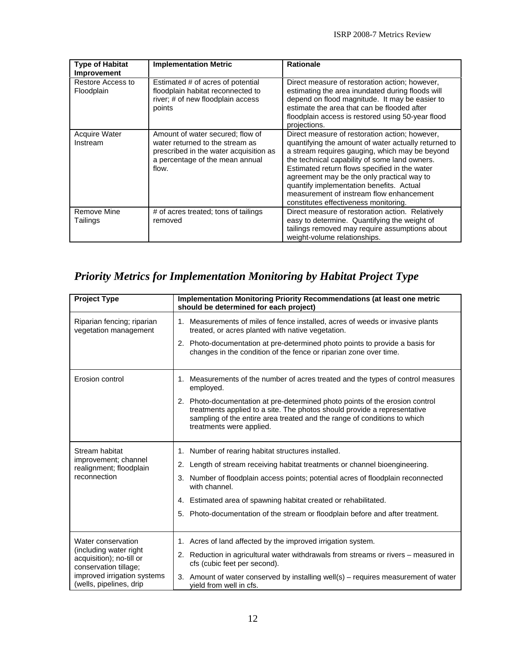<span id="page-13-0"></span>

| <b>Type of Habitat</b><br>Improvement | <b>Implementation Metric</b>                                                                                                                              | <b>Rationale</b>                                                                                                                                                                                                                                                                                                                                                                                                                          |
|---------------------------------------|-----------------------------------------------------------------------------------------------------------------------------------------------------------|-------------------------------------------------------------------------------------------------------------------------------------------------------------------------------------------------------------------------------------------------------------------------------------------------------------------------------------------------------------------------------------------------------------------------------------------|
| Restore Access to<br>Floodplain       | Estimated # of acres of potential<br>floodplain habitat reconnected to<br>river; # of new floodplain access<br>points                                     | Direct measure of restoration action; however,<br>estimating the area inundated during floods will<br>depend on flood magnitude. It may be easier to<br>estimate the area that can be flooded after<br>floodplain access is restored using 50-year flood<br>projections.                                                                                                                                                                  |
| Acquire Water<br>Instream             | Amount of water secured; flow of<br>water returned to the stream as<br>prescribed in the water acquisition as<br>a percentage of the mean annual<br>flow. | Direct measure of restoration action; however,<br>quantifying the amount of water actually returned to<br>a stream requires gauging, which may be beyond<br>the technical capability of some land owners.<br>Estimated return flows specified in the water<br>agreement may be the only practical way to<br>quantify implementation benefits. Actual<br>measurement of instream flow enhancement<br>constitutes effectiveness monitoring. |
| Remove Mine<br>Tailings               | # of acres treated; tons of tailings<br>removed                                                                                                           | Direct measure of restoration action. Relatively<br>easy to determine. Quantifying the weight of<br>tailings removed may require assumptions about<br>weight-volume relationships.                                                                                                                                                                                                                                                        |

## *Priority Metrics for Implementation Monitoring by Habitat Project Type*

| <b>Project Type</b>                                                         | Implementation Monitoring Priority Recommendations (at least one metric<br>should be determined for each project)                                                                                                                                                |  |
|-----------------------------------------------------------------------------|------------------------------------------------------------------------------------------------------------------------------------------------------------------------------------------------------------------------------------------------------------------|--|
| Riparian fencing; riparian<br>vegetation management                         | 1. Measurements of miles of fence installed, acres of weeds or invasive plants<br>treated, or acres planted with native vegetation.                                                                                                                              |  |
|                                                                             | 2. Photo-documentation at pre-determined photo points to provide a basis for<br>changes in the condition of the fence or riparian zone over time.                                                                                                                |  |
| Erosion control                                                             | 1. Measurements of the number of acres treated and the types of control measures<br>employed.                                                                                                                                                                    |  |
|                                                                             | 2. Photo-documentation at pre-determined photo points of the erosion control<br>treatments applied to a site. The photos should provide a representative<br>sampling of the entire area treated and the range of conditions to which<br>treatments were applied. |  |
| Stream habitat                                                              | 1. Number of rearing habitat structures installed.                                                                                                                                                                                                               |  |
| improvement; channel<br>realignment; floodplain                             | 2. Length of stream receiving habitat treatments or channel bioengineering.                                                                                                                                                                                      |  |
| reconnection                                                                | 3. Number of floodplain access points; potential acres of floodplain reconnected<br>with channel.                                                                                                                                                                |  |
|                                                                             | 4. Estimated area of spawning habitat created or rehabilitated.                                                                                                                                                                                                  |  |
|                                                                             | 5. Photo-documentation of the stream or floodplain before and after treatment.                                                                                                                                                                                   |  |
| Water conservation                                                          | 1. Acres of land affected by the improved irrigation system.                                                                                                                                                                                                     |  |
| (including water right<br>acquisition); no-till or<br>conservation tillage; | 2. Reduction in agricultural water withdrawals from streams or rivers - measured in<br>cfs (cubic feet per second).                                                                                                                                              |  |
| improved irrigation systems<br>(wells, pipelines, drip                      | 3. Amount of water conserved by installing well(s) – requires measurement of water<br>vield from well in cfs.                                                                                                                                                    |  |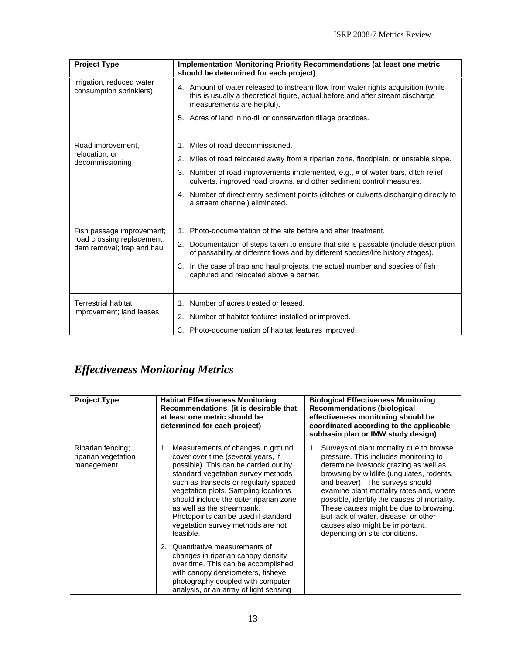<span id="page-14-0"></span>

| <b>Project Type</b>                                      | Implementation Monitoring Priority Recommendations (at least one metric<br>should be determined for each project)                                                                                 |  |
|----------------------------------------------------------|---------------------------------------------------------------------------------------------------------------------------------------------------------------------------------------------------|--|
| irrigation, reduced water<br>consumption sprinklers)     | 4. Amount of water released to instream flow from water rights acquisition (while<br>this is usually a theoretical figure, actual before and after stream discharge<br>measurements are helpful). |  |
|                                                          | 5. Acres of land in no-till or conservation tillage practices.                                                                                                                                    |  |
| Road improvement,                                        | Miles of road decommissioned.<br>$1_{-}$                                                                                                                                                          |  |
| relocation, or<br>decommissioning                        | 2. Miles of road relocated away from a riparian zone, floodplain, or unstable slope.                                                                                                              |  |
|                                                          | 3. Number of road improvements implemented, e.g., # of water bars, ditch relief<br>culverts, improved road crowns, and other sediment control measures.                                           |  |
|                                                          | 4. Number of direct entry sediment points (ditches or culverts discharging directly to<br>a stream channel) eliminated.                                                                           |  |
| Fish passage improvement;                                | Photo-documentation of the site before and after treatment.<br>1.                                                                                                                                 |  |
| road crossing replacement;<br>dam removal; trap and haul | 2. Documentation of steps taken to ensure that site is passable (include description<br>of passability at different flows and by different species/life history stages).                          |  |
|                                                          | 3. In the case of trap and haul projects, the actual number and species of fish<br>captured and relocated above a barrier.                                                                        |  |
|                                                          |                                                                                                                                                                                                   |  |
| <b>Terrestrial habitat</b><br>improvement; land leases   | 1. Number of acres treated or leased.                                                                                                                                                             |  |
|                                                          | 2. Number of habitat features installed or improved.                                                                                                                                              |  |
|                                                          | 3. Photo-documentation of habitat features improved.                                                                                                                                              |  |

## *Effectiveness Monitoring Metrics*

| <b>Project Type</b>                                    | <b>Habitat Effectiveness Monitoring</b><br>Recommendations (it is desirable that<br>at least one metric should be<br>determined for each project)                                                                                                                                                                                                                                                                                                    | <b>Biological Effectiveness Monitoring</b><br><b>Recommendations (biological</b><br>effectiveness monitoring should be<br>coordinated according to the applicable<br>subbasin plan or IMW study design)                                                                                                                                                                                                                                                      |
|--------------------------------------------------------|------------------------------------------------------------------------------------------------------------------------------------------------------------------------------------------------------------------------------------------------------------------------------------------------------------------------------------------------------------------------------------------------------------------------------------------------------|--------------------------------------------------------------------------------------------------------------------------------------------------------------------------------------------------------------------------------------------------------------------------------------------------------------------------------------------------------------------------------------------------------------------------------------------------------------|
| Riparian fencing;<br>riparian vegetation<br>management | Measurements of changes in ground<br>1.<br>cover over time (several years, if<br>possible). This can be carried out by<br>standard vegetation survey methods<br>such as transects or regularly spaced<br>vegetation plots. Sampling locations<br>should include the outer riparian zone<br>as well as the streambank.<br>Photopoints can be used if standard<br>vegetation survey methods are not<br>feasible.<br>Quantitative measurements of<br>2. | Surveys of plant mortality due to browse<br>pressure. This includes monitoring to<br>determine livestock grazing as well as<br>browsing by wildlife (ungulates, rodents,<br>and beaver). The surveys should<br>examine plant mortality rates and, where<br>possible, identify the causes of mortality.<br>These causes might be due to browsing.<br>But lack of water, disease, or other<br>causes also might be important,<br>depending on site conditions. |
|                                                        | changes in riparian canopy density<br>over time. This can be accomplished<br>with canopy densiometers, fisheye<br>photography coupled with computer<br>analysis, or an array of light sensing                                                                                                                                                                                                                                                        |                                                                                                                                                                                                                                                                                                                                                                                                                                                              |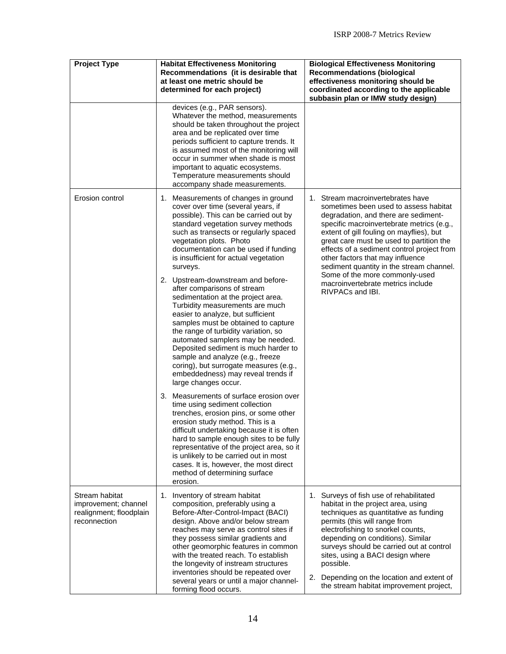| <b>Project Type</b>                                                               | <b>Habitat Effectiveness Monitoring</b><br>Recommendations (it is desirable that<br>at least one metric should be<br>determined for each project)                                                                                                                                                                                                                                                                                                                                                                                                                                                                                                                                                                                                                                                                                                                                                                                                                              | <b>Biological Effectiveness Monitoring</b><br><b>Recommendations (biological</b><br>effectiveness monitoring should be<br>coordinated according to the applicable<br>subbasin plan or IMW study design)                                                                                                                                                                                                                                                                          |
|-----------------------------------------------------------------------------------|--------------------------------------------------------------------------------------------------------------------------------------------------------------------------------------------------------------------------------------------------------------------------------------------------------------------------------------------------------------------------------------------------------------------------------------------------------------------------------------------------------------------------------------------------------------------------------------------------------------------------------------------------------------------------------------------------------------------------------------------------------------------------------------------------------------------------------------------------------------------------------------------------------------------------------------------------------------------------------|----------------------------------------------------------------------------------------------------------------------------------------------------------------------------------------------------------------------------------------------------------------------------------------------------------------------------------------------------------------------------------------------------------------------------------------------------------------------------------|
|                                                                                   | devices (e.g., PAR sensors).<br>Whatever the method, measurements<br>should be taken throughout the project<br>area and be replicated over time<br>periods sufficient to capture trends. It<br>is assumed most of the monitoring will<br>occur in summer when shade is most<br>important to aquatic ecosystems.<br>Temperature measurements should<br>accompany shade measurements.                                                                                                                                                                                                                                                                                                                                                                                                                                                                                                                                                                                            |                                                                                                                                                                                                                                                                                                                                                                                                                                                                                  |
| Erosion control                                                                   | 1. Measurements of changes in ground<br>cover over time (several years, if<br>possible). This can be carried out by<br>standard vegetation survey methods<br>such as transects or regularly spaced<br>vegetation plots. Photo<br>documentation can be used if funding<br>is insufficient for actual vegetation<br>surveys.<br>2. Upstream-downstream and before-<br>after comparisons of stream<br>sedimentation at the project area.<br>Turbidity measurements are much<br>easier to analyze, but sufficient<br>samples must be obtained to capture<br>the range of turbidity variation, so<br>automated samplers may be needed.<br>Deposited sediment is much harder to<br>sample and analyze (e.g., freeze<br>coring), but surrogate measures (e.g.,<br>embeddedness) may reveal trends if<br>large changes occur.<br>3. Measurements of surface erosion over<br>time using sediment collection<br>trenches, erosion pins, or some other<br>erosion study method. This is a | 1. Stream macroinvertebrates have<br>sometimes been used to assess habitat<br>degradation, and there are sediment-<br>specific macroinvertebrate metrics (e.g.,<br>extent of gill fouling on mayflies), but<br>great care must be used to partition the<br>effects of a sediment control project from<br>other factors that may influence<br>sediment quantity in the stream channel.<br>Some of the more commonly-used<br>macroinvertebrate metrics include<br>RIVPACs and IBI. |
|                                                                                   | difficult undertaking because it is often<br>hard to sample enough sites to be fully<br>representative of the project area, so it<br>is unlikely to be carried out in most<br>cases. It is, however, the most direct<br>method of determining surface<br>erosion.                                                                                                                                                                                                                                                                                                                                                                                                                                                                                                                                                                                                                                                                                                              |                                                                                                                                                                                                                                                                                                                                                                                                                                                                                  |
| Stream habitat<br>improvement; channel<br>realignment; floodplain<br>reconnection | Inventory of stream habitat<br>1.<br>composition, preferably using a<br>Before-After-Control-Impact (BACI)<br>design. Above and/or below stream<br>reaches may serve as control sites if<br>they possess similar gradients and<br>other geomorphic features in common<br>with the treated reach. To establish<br>the longevity of instream structures<br>inventories should be repeated over<br>several years or until a major channel-<br>forming flood occurs.                                                                                                                                                                                                                                                                                                                                                                                                                                                                                                               | 1. Surveys of fish use of rehabilitated<br>habitat in the project area, using<br>techniques as quantitative as funding<br>permits (this will range from<br>electrofishing to snorkel counts,<br>depending on conditions). Similar<br>surveys should be carried out at control<br>sites, using a BACI design where<br>possible.<br>2. Depending on the location and extent of<br>the stream habitat improvement project,                                                          |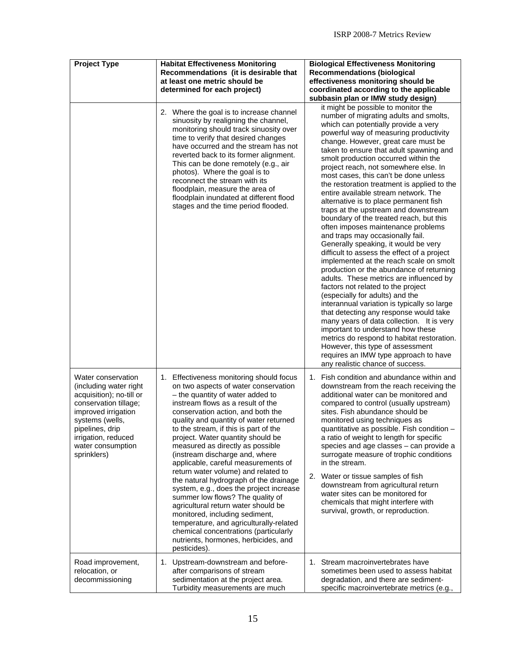| <b>Project Type</b>                                                                                                                                                                                                       | <b>Habitat Effectiveness Monitoring</b><br>Recommendations (it is desirable that<br>at least one metric should be<br>determined for each project)                                                                                                                                                                                                                                                                                                                                                                                                                                                                                                                                                                                                                                                                        | <b>Biological Effectiveness Monitoring</b><br><b>Recommendations (biological</b><br>effectiveness monitoring should be<br>coordinated according to the applicable<br>subbasin plan or IMW study design)                                                                                                                                                                                                                                                                                                                                                                                                                                                                                                                                                                                                                                                                                                                                                                                                                                                                                                                                                                                                                                                                                                               |
|---------------------------------------------------------------------------------------------------------------------------------------------------------------------------------------------------------------------------|--------------------------------------------------------------------------------------------------------------------------------------------------------------------------------------------------------------------------------------------------------------------------------------------------------------------------------------------------------------------------------------------------------------------------------------------------------------------------------------------------------------------------------------------------------------------------------------------------------------------------------------------------------------------------------------------------------------------------------------------------------------------------------------------------------------------------|-----------------------------------------------------------------------------------------------------------------------------------------------------------------------------------------------------------------------------------------------------------------------------------------------------------------------------------------------------------------------------------------------------------------------------------------------------------------------------------------------------------------------------------------------------------------------------------------------------------------------------------------------------------------------------------------------------------------------------------------------------------------------------------------------------------------------------------------------------------------------------------------------------------------------------------------------------------------------------------------------------------------------------------------------------------------------------------------------------------------------------------------------------------------------------------------------------------------------------------------------------------------------------------------------------------------------|
|                                                                                                                                                                                                                           | 2. Where the goal is to increase channel<br>sinuosity by realigning the channel,<br>monitoring should track sinuosity over<br>time to verify that desired changes<br>have occurred and the stream has not<br>reverted back to its former alignment.<br>This can be done remotely (e.g., air<br>photos). Where the goal is to<br>reconnect the stream with its<br>floodplain, measure the area of<br>floodplain inundated at different flood<br>stages and the time period flooded.                                                                                                                                                                                                                                                                                                                                       | it might be possible to monitor the<br>number of migrating adults and smolts,<br>which can potentially provide a very<br>powerful way of measuring productivity<br>change. However, great care must be<br>taken to ensure that adult spawning and<br>smolt production occurred within the<br>project reach, not somewhere else. In<br>most cases, this can't be done unless<br>the restoration treatment is applied to the<br>entire available stream network. The<br>alternative is to place permanent fish<br>traps at the upstream and downstream<br>boundary of the treated reach, but this<br>often imposes maintenance problems<br>and traps may occasionally fail.<br>Generally speaking, it would be very<br>difficult to assess the effect of a project<br>implemented at the reach scale on smolt<br>production or the abundance of returning<br>adults. These metrics are influenced by<br>factors not related to the project<br>(especially for adults) and the<br>interannual variation is typically so large<br>that detecting any response would take<br>many years of data collection. It is very<br>important to understand how these<br>metrics do respond to habitat restoration.<br>However, this type of assessment<br>requires an IMW type approach to have<br>any realistic chance of success. |
| Water conservation<br>(including water right<br>acquisition); no-till or<br>conservation tillage;<br>improved irrigation<br>systems (wells,<br>pipelines, drip<br>irrigation, reduced<br>water consumption<br>sprinklers) | 1. Effectiveness monitoring should focus<br>on two aspects of water conservation<br>- the quantity of water added to<br>instream flows as a result of the<br>conservation action, and both the<br>quality and quantity of water returned<br>to the stream, if this is part of the<br>project. Water quantity should be<br>measured as directly as possible<br>(instream discharge and, where<br>applicable, careful measurements of<br>return water volume) and related to<br>the natural hydrograph of the drainage<br>system, e.g., does the project increase<br>summer low flows? The quality of<br>agricultural return water should be<br>monitored, including sediment,<br>temperature, and agriculturally-related<br>chemical concentrations (particularly<br>nutrients, hormones, herbicides, and<br>pesticides). | 1. Fish condition and abundance within and<br>downstream from the reach receiving the<br>additional water can be monitored and<br>compared to control (usually upstream)<br>sites. Fish abundance should be<br>monitored using techniques as<br>quantitative as possible. Fish condition -<br>a ratio of weight to length for specific<br>species and age classes - can provide a<br>surrogate measure of trophic conditions<br>in the stream.<br>2. Water or tissue samples of fish<br>downstream from agricultural return<br>water sites can be monitored for<br>chemicals that might interfere with<br>survival, growth, or reproduction.                                                                                                                                                                                                                                                                                                                                                                                                                                                                                                                                                                                                                                                                          |
| Road improvement,<br>relocation, or<br>decommissioning                                                                                                                                                                    | 1. Upstream-downstream and before-<br>after comparisons of stream<br>sedimentation at the project area.<br>Turbidity measurements are much                                                                                                                                                                                                                                                                                                                                                                                                                                                                                                                                                                                                                                                                               | 1. Stream macroinvertebrates have<br>sometimes been used to assess habitat<br>degradation, and there are sediment-<br>specific macroinvertebrate metrics (e.g.,                                                                                                                                                                                                                                                                                                                                                                                                                                                                                                                                                                                                                                                                                                                                                                                                                                                                                                                                                                                                                                                                                                                                                       |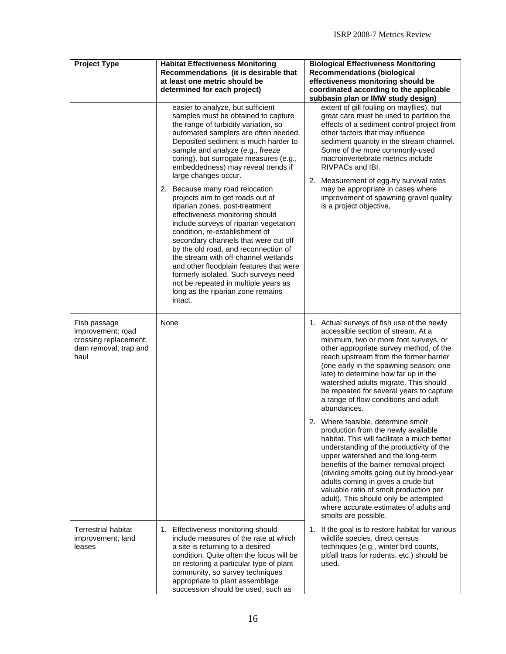| <b>Project Type</b>                                                                         | <b>Habitat Effectiveness Monitoring</b><br>Recommendations (it is desirable that<br>at least one metric should be<br>determined for each project)<br>easier to analyze, but sufficient<br>samples must be obtained to capture<br>the range of turbidity variation, so<br>automated samplers are often needed.<br>Deposited sediment is much harder to<br>sample and analyze (e.g., freeze<br>coring), but surrogate measures (e.g.,<br>embeddedness) may reveal trends if<br>large changes occur.<br>2. Because many road relocation<br>projects aim to get roads out of<br>riparian zones, post-treatment<br>effectiveness monitoring should<br>include surveys of riparian vegetation<br>condition, re-establishment of<br>secondary channels that were cut off<br>by the old road, and reconnection of<br>the stream with off-channel wetlands<br>and other floodplain features that were<br>formerly isolated. Such surveys need<br>not be repeated in multiple years as<br>long as the riparian zone remains<br>intact. | <b>Biological Effectiveness Monitoring</b><br><b>Recommendations (biological</b><br>effectiveness monitoring should be<br>coordinated according to the applicable<br>subbasin plan or IMW study design)<br>extent of gill fouling on mayflies), but<br>great care must be used to partition the<br>effects of a sediment control project from<br>other factors that may influence<br>sediment quantity in the stream channel.<br>Some of the more commonly-used<br>macroinvertebrate metrics include<br>RIVPACs and IBI.<br>2. Measurement of egg-fry survival rates<br>may be appropriate in cases where<br>improvement of spawning gravel quality<br>is a project objective,                                                                                                                                                                                                                                                              |
|---------------------------------------------------------------------------------------------|------------------------------------------------------------------------------------------------------------------------------------------------------------------------------------------------------------------------------------------------------------------------------------------------------------------------------------------------------------------------------------------------------------------------------------------------------------------------------------------------------------------------------------------------------------------------------------------------------------------------------------------------------------------------------------------------------------------------------------------------------------------------------------------------------------------------------------------------------------------------------------------------------------------------------------------------------------------------------------------------------------------------------|---------------------------------------------------------------------------------------------------------------------------------------------------------------------------------------------------------------------------------------------------------------------------------------------------------------------------------------------------------------------------------------------------------------------------------------------------------------------------------------------------------------------------------------------------------------------------------------------------------------------------------------------------------------------------------------------------------------------------------------------------------------------------------------------------------------------------------------------------------------------------------------------------------------------------------------------|
| Fish passage<br>improvement; road<br>crossing replacement;<br>dam removal; trap and<br>haul | None                                                                                                                                                                                                                                                                                                                                                                                                                                                                                                                                                                                                                                                                                                                                                                                                                                                                                                                                                                                                                         | 1. Actual surveys of fish use of the newly<br>accessible section of stream. At a<br>minimum, two or more foot surveys, or<br>other appropriate survey method, of the<br>reach upstream from the former barrier<br>(one early in the spawning season; one<br>late) to determine how far up in the<br>watershed adults migrate. This should<br>be repeated for several years to capture<br>a range of flow conditions and adult<br>abundances.<br>2. Where feasible, determine smolt<br>production from the newly available<br>habitat. This will facilitate a much better<br>understanding of the productivity of the<br>upper watershed and the long-term<br>benefits of the barrier removal project<br>(dividing smolts going out by brood-year<br>adults coming in gives a crude but<br>valuable ratio of smolt production per<br>adult). This should only be attempted<br>where accurate estimates of adults and<br>smolts are possible. |
| <b>Terrestrial habitat</b><br>improvement; land<br>leases                                   | 1. Effectiveness monitoring should<br>include measures of the rate at which<br>a site is returning to a desired<br>condition. Quite often the focus will be<br>on restoring a particular type of plant<br>community, so survey techniques<br>appropriate to plant assemblage<br>succession should be used, such as                                                                                                                                                                                                                                                                                                                                                                                                                                                                                                                                                                                                                                                                                                           | 1. If the goal is to restore habitat for various<br>wildlife species, direct census<br>techniques (e.g., winter bird counts,<br>pitfall traps for rodents, etc.) should be<br>used.                                                                                                                                                                                                                                                                                                                                                                                                                                                                                                                                                                                                                                                                                                                                                         |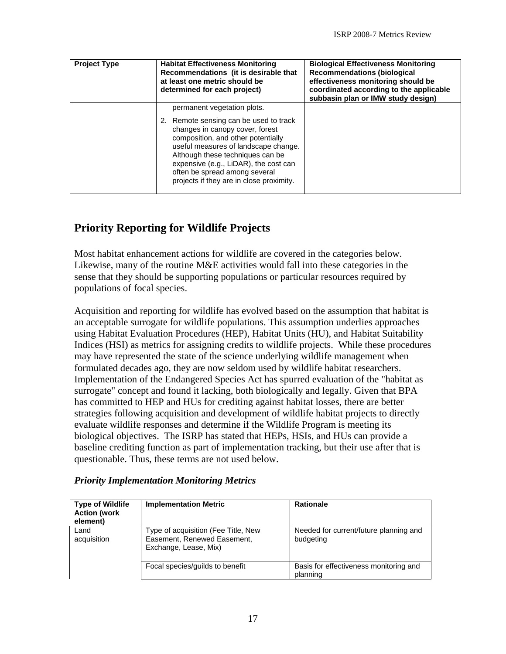<span id="page-18-0"></span>

| <b>Project Type</b> | <b>Habitat Effectiveness Monitoring</b><br>Recommendations (it is desirable that<br>at least one metric should be<br>determined for each project)                                                                                                                                                                 | <b>Biological Effectiveness Monitoring</b><br><b>Recommendations (biological</b><br>effectiveness monitoring should be<br>coordinated according to the applicable<br>subbasin plan or IMW study design) |
|---------------------|-------------------------------------------------------------------------------------------------------------------------------------------------------------------------------------------------------------------------------------------------------------------------------------------------------------------|---------------------------------------------------------------------------------------------------------------------------------------------------------------------------------------------------------|
|                     | permanent vegetation plots.                                                                                                                                                                                                                                                                                       |                                                                                                                                                                                                         |
|                     | 2. Remote sensing can be used to track<br>changes in canopy cover, forest<br>composition, and other potentially<br>useful measures of landscape change.<br>Although these techniques can be<br>expensive (e.g., LiDAR), the cost can<br>often be spread among several<br>projects if they are in close proximity. |                                                                                                                                                                                                         |

#### **Priority Reporting for Wildlife Projects**

Most habitat enhancement actions for wildlife are covered in the categories below. Likewise, many of the routine M&E activities would fall into these categories in the sense that they should be supporting populations or particular resources required by populations of focal species.

Acquisition and reporting for wildlife has evolved based on the assumption that habitat is an acceptable surrogate for wildlife populations. This assumption underlies approaches using Habitat Evaluation Procedures (HEP), Habitat Units (HU), and Habitat Suitability Indices (HSI) as metrics for assigning credits to wildlife projects. While these procedures may have represented the state of the science underlying wildlife management when formulated decades ago, they are now seldom used by wildlife habitat researchers. Implementation of the Endangered Species Act has spurred evaluation of the "habitat as surrogate" concept and found it lacking, both biologically and legally. Given that BPA has committed to HEP and HUs for crediting against habitat losses, there are better strategies following acquisition and development of wildlife habitat projects to directly evaluate wildlife responses and determine if the Wildlife Program is meeting its biological objectives. The ISRP has stated that HEPs, HSIs, and HUs can provide a baseline crediting function as part of implementation tracking, but their use after that is questionable. Thus, these terms are not used below.

| <b>Type of Wildlife</b><br><b>Action (work</b><br>element) | <b>Implementation Metric</b>                                                                | <b>Rationale</b>                                    |
|------------------------------------------------------------|---------------------------------------------------------------------------------------------|-----------------------------------------------------|
| Land<br>acquisition                                        | Type of acquisition (Fee Title, New<br>Easement, Renewed Easement,<br>Exchange, Lease, Mix) | Needed for current/future planning and<br>budgeting |
|                                                            | Focal species/quilds to benefit                                                             | Basis for effectiveness monitoring and<br>planning  |

#### *Priority Implementation Monitoring Metrics*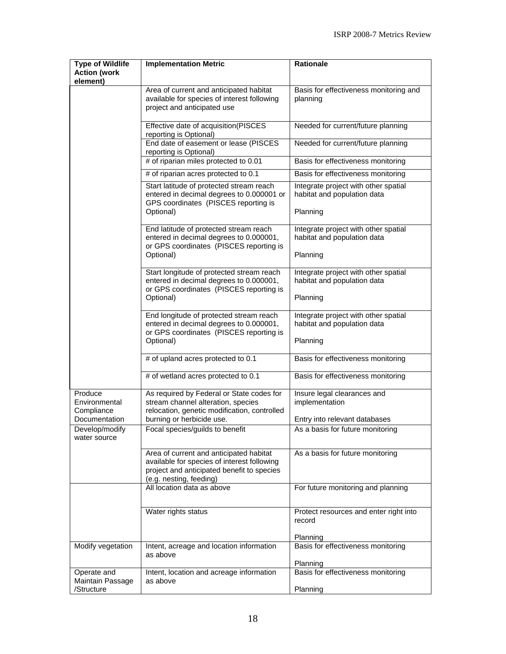| <b>Type of Wildlife</b><br><b>Action (work</b><br>element) | <b>Implementation Metric</b>                                                                                                                                    | <b>Rationale</b>                                                                |
|------------------------------------------------------------|-----------------------------------------------------------------------------------------------------------------------------------------------------------------|---------------------------------------------------------------------------------|
|                                                            | Area of current and anticipated habitat<br>available for species of interest following<br>project and anticipated use                                           | Basis for effectiveness monitoring and<br>planning                              |
|                                                            | Effective date of acquisition(PISCES<br>reporting is Optional)                                                                                                  | Needed for current/future planning                                              |
|                                                            | End date of easement or lease (PISCES<br>reporting is Optional)                                                                                                 | Needed for current/future planning                                              |
|                                                            | # of riparian miles protected to 0.01                                                                                                                           | Basis for effectiveness monitoring                                              |
|                                                            | # of riparian acres protected to 0.1                                                                                                                            | Basis for effectiveness monitoring                                              |
|                                                            | Start latitude of protected stream reach<br>entered in decimal degrees to 0.000001 or<br>GPS coordinates (PISCES reporting is<br>Optional)                      | Integrate project with other spatial<br>habitat and population data<br>Planning |
|                                                            | End latitude of protected stream reach<br>entered in decimal degrees to 0.000001,<br>or GPS coordinates (PISCES reporting is<br>Optional)                       | Integrate project with other spatial<br>habitat and population data<br>Planning |
|                                                            | Start longitude of protected stream reach<br>entered in decimal degrees to 0.000001,<br>or GPS coordinates (PISCES reporting is                                 | Integrate project with other spatial<br>habitat and population data             |
|                                                            | Optional)                                                                                                                                                       | Planning                                                                        |
|                                                            | End longitude of protected stream reach<br>entered in decimal degrees to 0.000001,<br>or GPS coordinates (PISCES reporting is                                   | Integrate project with other spatial<br>habitat and population data             |
|                                                            | Optional)                                                                                                                                                       | Planning                                                                        |
|                                                            | # of upland acres protected to 0.1                                                                                                                              | Basis for effectiveness monitoring                                              |
|                                                            | $#$ of wetland acres protected to 0.1                                                                                                                           | Basis for effectiveness monitoring                                              |
| Produce<br>Environmental<br>Compliance                     | As required by Federal or State codes for<br>stream channel alteration, species<br>relocation, genetic modification, controlled                                 | Insure legal clearances and<br>implementation                                   |
| Documentation<br>Develop/modify                            | burning or herbicide use.<br>Focal species/guilds to benefit                                                                                                    | Entry into relevant databases<br>As a basis for future monitoring               |
| water source                                               |                                                                                                                                                                 |                                                                                 |
|                                                            | Area of current and anticipated habitat<br>available for species of interest following<br>project and anticipated benefit to species<br>(e.g. nesting, feeding) | As a basis for future monitoring                                                |
|                                                            | All location data as above                                                                                                                                      | For future monitoring and planning                                              |
|                                                            | Water rights status                                                                                                                                             | Protect resources and enter right into<br>record                                |
| Modify vegetation                                          | Intent, acreage and location information<br>as above                                                                                                            | Planning<br>Basis for effectiveness monitoring                                  |
|                                                            |                                                                                                                                                                 | Planning                                                                        |
| Operate and<br>Maintain Passage                            | Intent, location and acreage information<br>as above                                                                                                            | Basis for effectiveness monitoring                                              |
| /Structure                                                 |                                                                                                                                                                 | Planning                                                                        |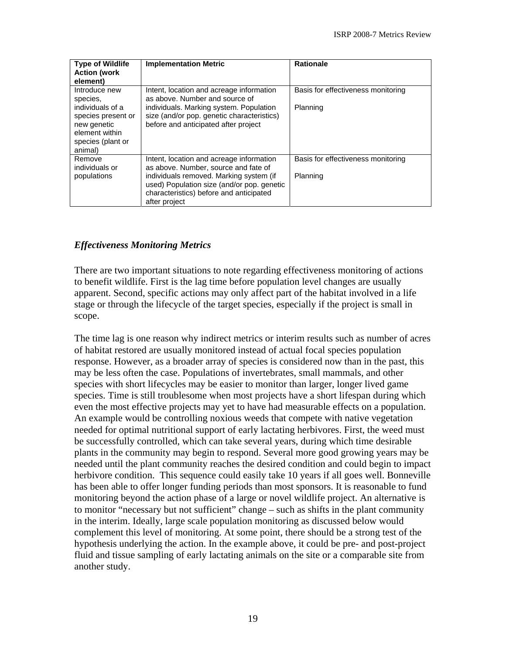<span id="page-20-0"></span>

| <b>Type of Wildlife</b><br><b>Action (work</b><br>element)                                              | <b>Implementation Metric</b>                                                                                                                      | <b>Rationale</b>                   |
|---------------------------------------------------------------------------------------------------------|---------------------------------------------------------------------------------------------------------------------------------------------------|------------------------------------|
| Introduce new<br>species,                                                                               | Intent, location and acreage information<br>as above. Number and source of                                                                        | Basis for effectiveness monitoring |
| individuals of a<br>species present or<br>new genetic<br>element within<br>species (plant or<br>animal) | individuals. Marking system. Population<br>size (and/or pop. genetic characteristics)<br>before and anticipated after project                     | Planning                           |
| Remove<br>individuals or                                                                                | Intent, location and acreage information<br>as above. Number, source and fate of                                                                  | Basis for effectiveness monitoring |
| populations                                                                                             | individuals removed. Marking system (if<br>used) Population size (and/or pop. genetic<br>characteristics) before and anticipated<br>after project | Planning                           |

#### *Effectiveness Monitoring Metrics*

There are two important situations to note regarding effectiveness monitoring of actions to benefit wildlife. First is the lag time before population level changes are usually apparent. Second, specific actions may only affect part of the habitat involved in a life stage or through the lifecycle of the target species, especially if the project is small in scope.

The time lag is one reason why indirect metrics or interim results such as number of acres of habitat restored are usually monitored instead of actual focal species population response. However, as a broader array of species is considered now than in the past, this may be less often the case. Populations of invertebrates, small mammals, and other species with short lifecycles may be easier to monitor than larger, longer lived game species. Time is still troublesome when most projects have a short lifespan during which even the most effective projects may yet to have had measurable effects on a population. An example would be controlling noxious weeds that compete with native vegetation needed for optimal nutritional support of early lactating herbivores. First, the weed must be successfully controlled, which can take several years, during which time desirable plants in the community may begin to respond. Several more good growing years may be needed until the plant community reaches the desired condition and could begin to impact herbivore condition. This sequence could easily take 10 years if all goes well. Bonneville has been able to offer longer funding periods than most sponsors. It is reasonable to fund monitoring beyond the action phase of a large or novel wildlife project. An alternative is to monitor "necessary but not sufficient" change – such as shifts in the plant community in the interim. Ideally, large scale population monitoring as discussed below would complement this level of monitoring. At some point, there should be a strong test of the hypothesis underlying the action. In the example above, it could be pre- and post-project fluid and tissue sampling of early lactating animals on the site or a comparable site from another study.